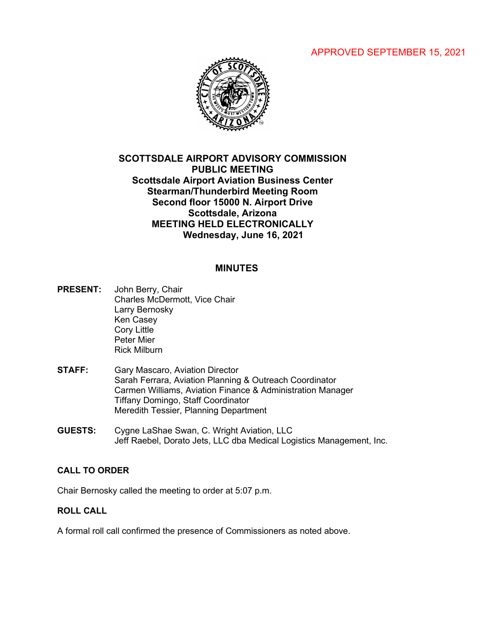# APPROVED SEPTEMBER 15, 2021



# **SCOTTSDALE AIRPORT ADVISORY COMMISSION PUBLIC MEETING Scottsdale Airport Aviation Business Center Stearman/Thunderbird Meeting Room Second floor 15000 N. Airport Drive Scottsdale, Arizona MEETING HELD ELECTRONICALLY Wednesday, June 16, 2021**

### **MINUTES**

- **PRESENT:** John Berry, Chair Charles McDermott, Vice Chair Larry Bernosky Ken Casey Cory Little Peter Mier Rick Milburn
- **STAFF:** Gary Mascaro, Aviation Director Sarah Ferrara, Aviation Planning & Outreach Coordinator Carmen Williams, Aviation Finance & Administration Manager Tiffany Domingo, Staff Coordinator Meredith Tessier, Planning Department
- **GUESTS:** Cygne LaShae Swan, C. Wright Aviation, LLC Jeff Raebel, Dorato Jets, LLC dba Medical Logistics Management, Inc.

#### **CALL TO ORDER**

Chair Bernosky called the meeting to order at 5:07 p.m.

### **ROLL CALL**

A formal roll call confirmed the presence of Commissioners as noted above.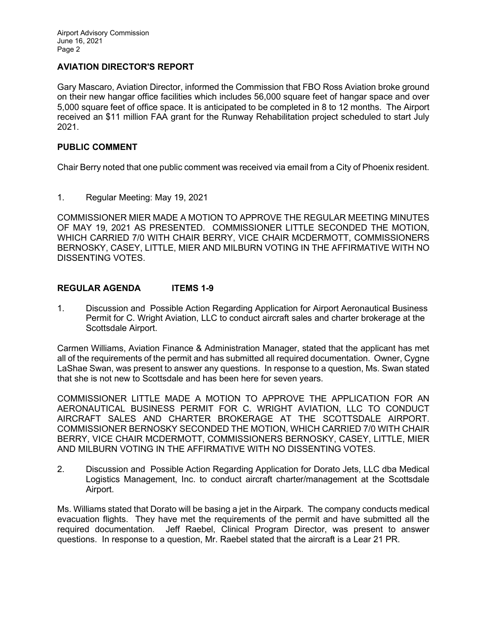# **AVIATION DIRECTOR'S REPORT**

Gary Mascaro, Aviation Director, informed the Commission that FBO Ross Aviation broke ground on their new hangar office facilities which includes 56,000 square feet of hangar space and over 5,000 square feet of office space. It is anticipated to be completed in 8 to 12 months. The Airport received an \$11 million FAA grant for the Runway Rehabilitation project scheduled to start July 2021.

### **PUBLIC COMMENT**

Chair Berry noted that one public comment was received via email from a City of Phoenix resident.

1. Regular Meeting: May 19, 2021

COMMISSIONER MIER MADE A MOTION TO APPROVE THE REGULAR MEETING MINUTES OF MAY 19, 2021 AS PRESENTED. COMMISSIONER LITTLE SECONDED THE MOTION, WHICH CARRIED 7/0 WITH CHAIR BERRY, VICE CHAIR MCDERMOTT, COMMISSIONERS BERNOSKY, CASEY, LITTLE, MIER AND MILBURN VOTING IN THE AFFIRMATIVE WITH NO DISSENTING VOTES.

## **REGULAR AGENDA ITEMS 1-9**

1. Discussion and Possible Action Regarding Application for Airport Aeronautical Business Permit for C. Wright Aviation, LLC to conduct aircraft sales and charter brokerage at the Scottsdale Airport.

Carmen Williams, Aviation Finance & Administration Manager, stated that the applicant has met all of the requirements of the permit and has submitted all required documentation. Owner, Cygne LaShae Swan, was present to answer any questions. In response to a question, Ms. Swan stated that she is not new to Scottsdale and has been here for seven years.

COMMISSIONER LITTLE MADE A MOTION TO APPROVE THE APPLICATION FOR AN AERONAUTICAL BUSINESS PERMIT FOR C. WRIGHT AVIATION, LLC TO CONDUCT AIRCRAFT SALES AND CHARTER BROKERAGE AT THE SCOTTSDALE AIRPORT. COMMISSIONER BERNOSKY SECONDED THE MOTION, WHICH CARRIED 7/0 WITH CHAIR BERRY, VICE CHAIR MCDERMOTT, COMMISSIONERS BERNOSKY, CASEY, LITTLE, MIER AND MILBURN VOTING IN THE AFFIRMATIVE WITH NO DISSENTING VOTES.

2. Discussion and Possible Action Regarding Application for Dorato Jets, LLC dba Medical Logistics Management, Inc. to conduct aircraft charter/management at the Scottsdale Airport.

Ms. Williams stated that Dorato will be basing a jet in the Airpark. The company conducts medical evacuation flights. They have met the requirements of the permit and have submitted all the required documentation. Jeff Raebel, Clinical Program Director, was present to answer questions. In response to a question, Mr. Raebel stated that the aircraft is a Lear 21 PR.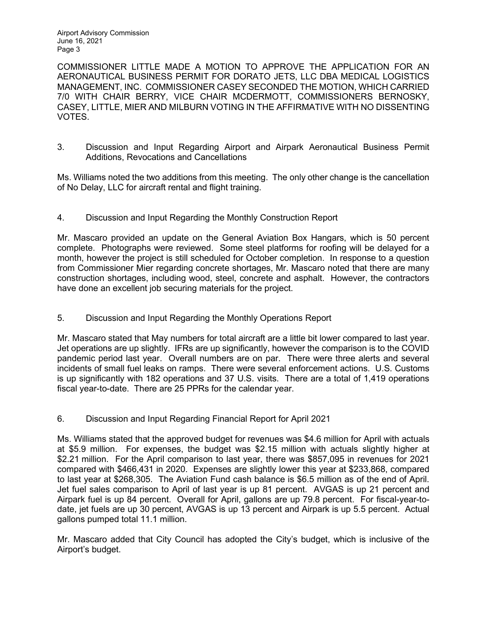Airport Advisory Commission June 16, 2021 Page 3

COMMISSIONER LITTLE MADE A MOTION TO APPROVE THE APPLICATION FOR AN AERONAUTICAL BUSINESS PERMIT FOR DORATO JETS, LLC DBA MEDICAL LOGISTICS MANAGEMENT, INC. COMMISSIONER CASEY SECONDED THE MOTION, WHICH CARRIED 7/0 WITH CHAIR BERRY, VICE CHAIR MCDERMOTT, COMMISSIONERS BERNOSKY, CASEY, LITTLE, MIER AND MILBURN VOTING IN THE AFFIRMATIVE WITH NO DISSENTING VOTES.

3. Discussion and Input Regarding Airport and Airpark Aeronautical Business Permit Additions, Revocations and Cancellations

Ms. Williams noted the two additions from this meeting. The only other change is the cancellation of No Delay, LLC for aircraft rental and flight training.

4. Discussion and Input Regarding the Monthly Construction Report

Mr. Mascaro provided an update on the General Aviation Box Hangars, which is 50 percent complete. Photographs were reviewed. Some steel platforms for roofing will be delayed for a month, however the project is still scheduled for October completion. In response to a question from Commissioner Mier regarding concrete shortages, Mr. Mascaro noted that there are many construction shortages, including wood, steel, concrete and asphalt. However, the contractors have done an excellent job securing materials for the project.

5. Discussion and Input Regarding the Monthly Operations Report

Mr. Mascaro stated that May numbers for total aircraft are a little bit lower compared to last year. Jet operations are up slightly. IFRs are up significantly, however the comparison is to the COVID pandemic period last year. Overall numbers are on par. There were three alerts and several incidents of small fuel leaks on ramps. There were several enforcement actions. U.S. Customs is up significantly with 182 operations and 37 U.S. visits. There are a total of 1,419 operations fiscal year-to-date. There are 25 PPRs for the calendar year.

6. Discussion and Input Regarding Financial Report for April 2021

Ms. Williams stated that the approved budget for revenues was \$4.6 million for April with actuals at \$5.9 million. For expenses, the budget was \$2.15 million with actuals slightly higher at \$2.21 million. For the April comparison to last year, there was \$857,095 in revenues for 2021 compared with \$466,431 in 2020. Expenses are slightly lower this year at \$233,868, compared to last year at \$268,305. The Aviation Fund cash balance is \$6.5 million as of the end of April. Jet fuel sales comparison to April of last year is up 81 percent. AVGAS is up 21 percent and Airpark fuel is up 84 percent. Overall for April, gallons are up 79.8 percent. For fiscal-year-todate, jet fuels are up 30 percent, AVGAS is up 13 percent and Airpark is up 5.5 percent. Actual gallons pumped total 11.1 million.

Mr. Mascaro added that City Council has adopted the City's budget, which is inclusive of the Airport's budget.